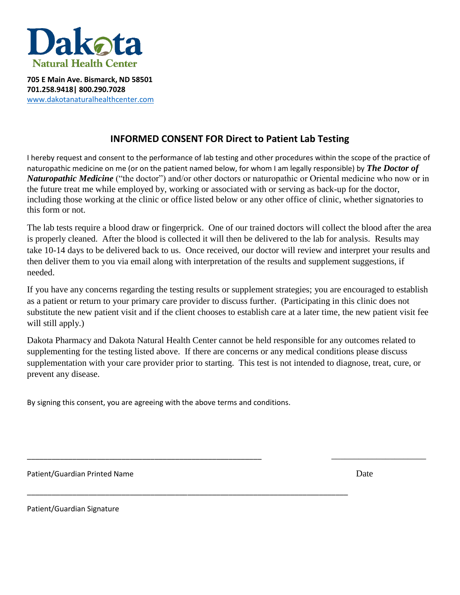

**705 E Main Ave. Bismarck, ND 58501 701.258.9418| 800.290.7028** [www.dakotanaturalhealthcenter.com](http://www.dakotanaturalhealthcenter.com/)

## **INFORMED CONSENT FOR Direct to Patient Lab Testing**

I hereby request and consent to the performance of lab testing and other procedures within the scope of the practice of naturopathic medicine on me (or on the patient named below, for whom I am legally responsible) by *The Doctor of Naturopathic Medicine* ("the doctor") and/or other doctors or naturopathic or Oriental medicine who now or in the future treat me while employed by, working or associated with or serving as back-up for the doctor, including those working at the clinic or office listed below or any other office of clinic, whether signatories to this form or not.

The lab tests require a blood draw or fingerprick. One of our trained doctors will collect the blood after the area is properly cleaned. After the blood is collected it will then be delivered to the lab for analysis. Results may take 10-14 days to be delivered back to us. Once received, our doctor will review and interpret your results and then deliver them to you via email along with interpretation of the results and supplement suggestions, if needed.

If you have any concerns regarding the testing results or supplement strategies; you are encouraged to establish as a patient or return to your primary care provider to discuss further. (Participating in this clinic does not substitute the new patient visit and if the client chooses to establish care at a later time, the new patient visit fee will still apply.)

Dakota Pharmacy and Dakota Natural Health Center cannot be held responsible for any outcomes related to supplementing for the testing listed above. If there are concerns or any medical conditions please discuss supplementation with your care provider prior to starting. This test is not intended to diagnose, treat, cure, or prevent any disease.

\_\_\_\_\_\_\_\_\_\_\_\_\_\_\_\_\_\_\_\_\_\_\_\_\_\_\_\_\_\_\_\_\_\_\_\_\_\_\_\_\_\_\_\_\_\_\_\_\_\_\_\_\_\_\_\_\_ \_\_\_\_\_\_\_\_\_\_\_\_\_\_\_\_\_\_\_\_\_

By signing this consent, you are agreeing with the above terms and conditions.

\_\_\_\_\_\_\_\_\_\_\_\_\_\_\_\_\_\_\_\_\_\_\_\_\_\_\_\_\_\_\_\_\_\_\_\_\_\_\_\_\_\_\_\_\_\_\_\_\_\_\_\_\_\_\_\_\_\_\_\_\_\_\_\_\_\_\_\_\_\_\_\_\_\_\_\_\_\_

Patient/Guardian Printed Name **Date According to the United State** Date Date Date

Patient/Guardian Signature